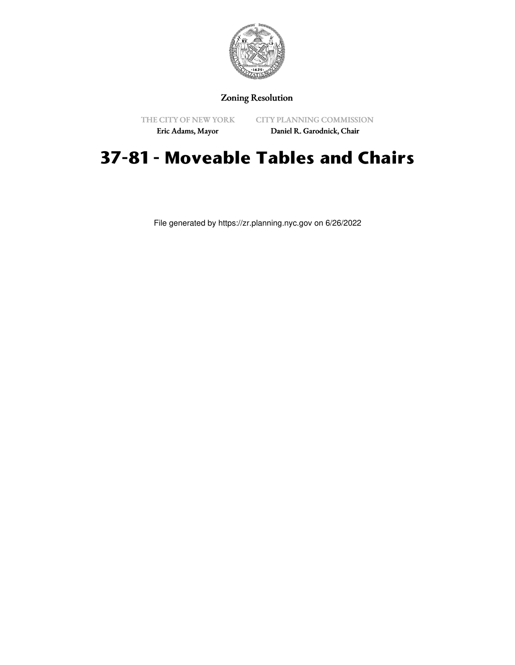

Zoning Resolution

THE CITY OF NEW YORK

CITY PLANNING COMMISSION

Eric Adams, Mayor

Daniel R. Garodnick, Chair

## **37-81 - Moveable Tables and Chairs**

File generated by https://zr.planning.nyc.gov on 6/26/2022